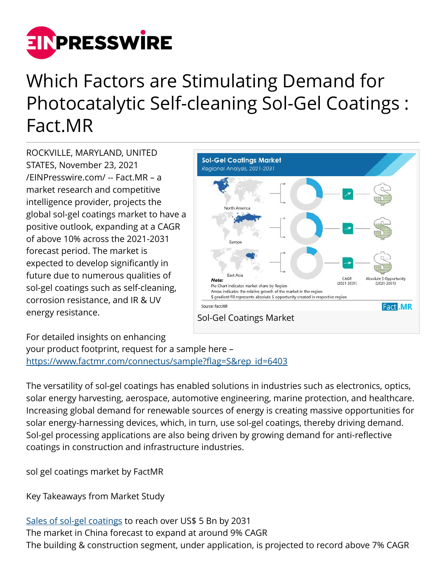

## Which Factors are Stimulating Demand for Photocatalytic Self-cleaning Sol-Gel Coatings : Fact.MR

ROCKVILLE, MARYLAND, UNITED STATES, November 23, 2021 [/EINPresswire.com/](http://www.einpresswire.com) -- Fact.MR – a market research and competitive intelligence provider, projects the global sol-gel coatings market to have a positive outlook, expanding at a CAGR of above 10% across the 2021-2031 forecast period. The market is expected to develop significantly in future due to numerous qualities of sol-gel coatings such as self-cleaning, corrosion resistance, and IR & UV energy resistance.



## For detailed insights on enhancing

your product footprint, request for a sample here – [https://www.factmr.com/connectus/sample?flag=S&rep\\_id=6403](https://www.factmr.com/connectus/sample?flag=S&rep_id=6403)

The versatility of sol-gel coatings has enabled solutions in industries such as electronics, optics, solar energy harvesting, aerospace, automotive engineering, marine protection, and healthcare. Increasing global demand for renewable sources of energy is creating massive opportunities for solar energy-harnessing devices, which, in turn, use sol-gel coatings, thereby driving demand. Sol-gel processing applications are also being driven by growing demand for anti-reflective coatings in construction and infrastructure industries.

sol gel coatings market by FactMR

Key Takeaways from Market Study

[Sales of sol-gel coatings](https://www.factmr.com/report/sol-gel-coatings-market) to reach over US\$ 5 Bn by 2031 The market in China forecast to expand at around 9% CAGR The building & construction segment, under application, is projected to record above 7% CAGR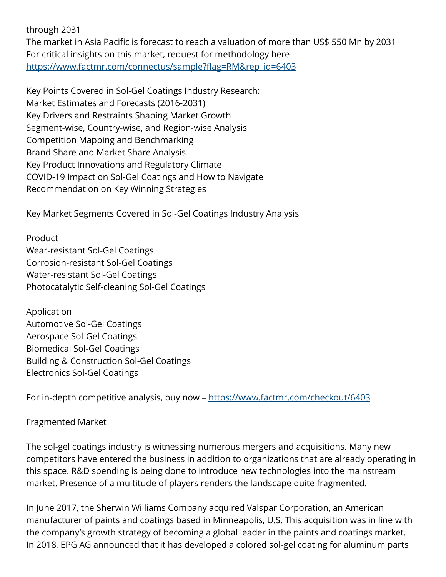through 2031

The market in Asia Pacific is forecast to reach a valuation of more than US\$ 550 Mn by 2031 For critical insights on this market, request for methodology here – [https://www.factmr.com/connectus/sample?flag=RM&rep\\_id=6403](https://www.factmr.com/connectus/sample?flag=RM&rep_id=6403)

Key Points Covered in Sol-Gel Coatings Industry Research: Market Estimates and Forecasts (2016-2031) Key Drivers and Restraints Shaping Market Growth Segment-wise, Country-wise, and Region-wise Analysis Competition Mapping and Benchmarking Brand Share and Market Share Analysis Key Product Innovations and Regulatory Climate COVID-19 Impact on Sol-Gel Coatings and How to Navigate Recommendation on Key Winning Strategies

Key Market Segments Covered in Sol-Gel Coatings Industry Analysis

Product Wear-resistant Sol-Gel Coatings Corrosion-resistant Sol-Gel Coatings Water-resistant Sol-Gel Coatings Photocatalytic Self-cleaning Sol-Gel Coatings

Application Automotive Sol-Gel Coatings Aerospace Sol-Gel Coatings Biomedical Sol-Gel Coatings Building & Construction Sol-Gel Coatings Electronics Sol-Gel Coatings

For in-depth competitive analysis, buy now –<https://www.factmr.com/checkout/6403>

Fragmented Market

The sol-gel coatings industry is witnessing numerous mergers and acquisitions. Many new competitors have entered the business in addition to organizations that are already operating in this space. R&D spending is being done to introduce new technologies into the mainstream market. Presence of a multitude of players renders the landscape quite fragmented.

In June 2017, the Sherwin Williams Company acquired Valspar Corporation, an American manufacturer of paints and coatings based in Minneapolis, U.S. This acquisition was in line with the company's growth strategy of becoming a global leader in the paints and coatings market. In 2018, EPG AG announced that it has developed a colored sol-gel coating for aluminum parts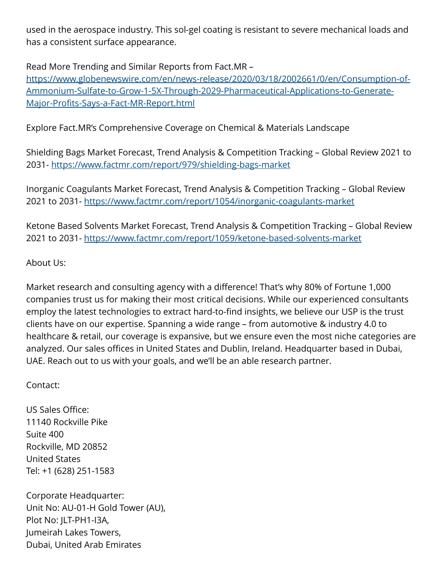used in the aerospace industry. This sol-gel coating is resistant to severe mechanical loads and has a consistent surface appearance.

Read More Trending and Similar Reports from Fact.MR –

[https://www.globenewswire.com/en/news-release/2020/03/18/2002661/0/en/Consumption-of-](https://www.globenewswire.com/en/news-release/2020/03/18/2002661/0/en/Consumption-of-Ammonium-Sulfate-to-Grow-1-5X-Through-2029-Pharmaceutical-Applications-to-Generate-Major-Profits-Says-a-Fact-MR-Report.html)[Ammonium-Sulfate-to-Grow-1-5X-Through-2029-Pharmaceutical-Applications-to-Generate-](https://www.globenewswire.com/en/news-release/2020/03/18/2002661/0/en/Consumption-of-Ammonium-Sulfate-to-Grow-1-5X-Through-2029-Pharmaceutical-Applications-to-Generate-Major-Profits-Says-a-Fact-MR-Report.html)[Major-Profits-Says-a-Fact-MR-Report.html](https://www.globenewswire.com/en/news-release/2020/03/18/2002661/0/en/Consumption-of-Ammonium-Sulfate-to-Grow-1-5X-Through-2029-Pharmaceutical-Applications-to-Generate-Major-Profits-Says-a-Fact-MR-Report.html)

Explore Fact.MR's Comprehensive Coverage on Chemical & Materials Landscape

Shielding Bags Market Forecast, Trend Analysis & Competition Tracking – Global Review 2021 to 2031-<https://www.factmr.com/report/979/shielding-bags-market>

Inorganic Coagulants Market Forecast, Trend Analysis & Competition Tracking – Global Review 2021 to 2031-<https://www.factmr.com/report/1054/inorganic-coagulants-market>

Ketone Based Solvents Market Forecast, Trend Analysis & Competition Tracking – Global Review 2021 to 2031-<https://www.factmr.com/report/1059/ketone-based-solvents-market>

## About Us:

Market research and consulting agency with a difference! That's why 80% of Fortune 1,000 companies trust us for making their most critical decisions. While our experienced consultants employ the latest technologies to extract hard-to-find insights, we believe our USP is the trust clients have on our expertise. Spanning a wide range – from automotive & industry 4.0 to healthcare & retail, our coverage is expansive, but we ensure even the most niche categories are analyzed. Our sales offices in United States and Dublin, Ireland. Headquarter based in Dubai, UAE. Reach out to us with your goals, and we'll be an able research partner.

Contact:

US Sales Office: 11140 Rockville Pike Suite 400 Rockville, MD 20852 United States Tel: +1 (628) 251-1583

Corporate Headquarter: Unit No: AU-01-H Gold Tower (AU), Plot No: JLT-PH1-I3A, Jumeirah Lakes Towers, Dubai, United Arab Emirates